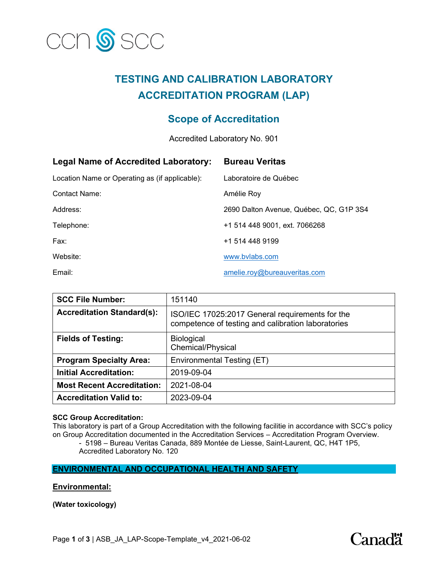

# **TESTING AND CALIBRATION LABORATORY ACCREDITATION PROGRAM (LAP)**

## **Scope of Accreditation**

Accredited Laboratory No. 901

| <b>Legal Name of Accredited Laboratory:</b>    | <b>Bureau Veritas</b>                   |
|------------------------------------------------|-----------------------------------------|
| Location Name or Operating as (if applicable): | Laboratoire de Québec                   |
| Contact Name:                                  | Amélie Roy                              |
| Address:                                       | 2690 Dalton Avenue, Québec, QC, G1P 3S4 |
| Telephone:                                     | +1 514 448 9001, ext. 7066268           |
| Fax:                                           | +1 514 448 9199                         |
| Website:                                       | www.bylabs.com                          |
| Email:                                         | amelie.roy@bureauveritas.com            |

| <b>SCC File Number:</b>           | 151140                                                                                                |
|-----------------------------------|-------------------------------------------------------------------------------------------------------|
| <b>Accreditation Standard(s):</b> | ISO/IEC 17025:2017 General requirements for the<br>competence of testing and calibration laboratories |
| <b>Fields of Testing:</b>         | <b>Biological</b><br>Chemical/Physical                                                                |
| <b>Program Specialty Area:</b>    | Environmental Testing (ET)                                                                            |
| <b>Initial Accreditation:</b>     | 2019-09-04                                                                                            |
| <b>Most Recent Accreditation:</b> | 2021-08-04                                                                                            |
| <b>Accreditation Valid to:</b>    | 2023-09-04                                                                                            |

#### **SCC Group Accreditation:**

This laboratory is part of a Group Accreditation with the following facilitie in accordance with SCC's policy on Group Accreditation documented in the Accreditation Services – Accreditation Program Overview.

- 5198 – Bureau Veritas Canada, 889 Montée de Liesse, Saint-Laurent, QC, H4T 1P5, Accredited Laboratory No. 120

**ENVIRONMENTAL AND OCCUPATIONAL HEALTH AND SAFETY**

**Environmental:** 

**(Water toxicology)** 

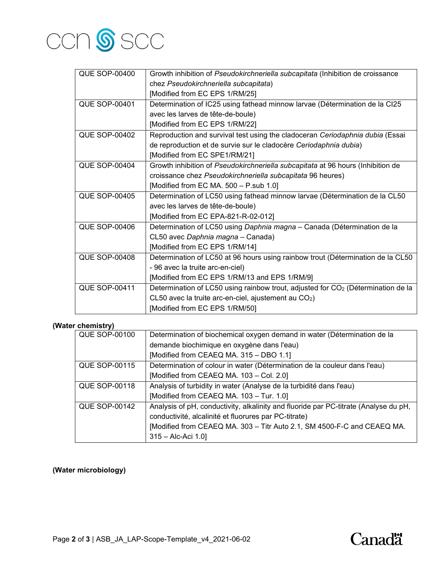

| <b>QUE SOP-00400</b> | Growth inhibition of Pseudokirchneriella subcapitata (Inhibition de croissance               |
|----------------------|----------------------------------------------------------------------------------------------|
|                      | chez Pseudokirchneriella subcapitata)                                                        |
|                      | [Modified from EC EPS 1/RM/25]                                                               |
| <b>QUE SOP-00401</b> | Determination of IC25 using fathead minnow larvae (Détermination de la CI25                  |
|                      | avec les larves de tête-de-boule)                                                            |
|                      | [Modified from EC EPS 1/RM/22]                                                               |
| <b>QUE SOP-00402</b> | Reproduction and survival test using the cladoceran Ceriodaphnia dubia (Essai                |
|                      | de reproduction et de survie sur le cladocère Ceriodaphnia dubia)                            |
|                      | [Modified from EC SPE1/RM/21]                                                                |
| <b>QUE SOP-00404</b> | Growth inhibition of Pseudokirchneriella subcapitata at 96 hours (Inhibition de              |
|                      | croissance chez Pseudokirchneriella subcapitata 96 heures)                                   |
|                      | [Modified from EC MA. 500 - P.sub 1.0]                                                       |
| <b>QUE SOP-00405</b> | Determination of LC50 using fathead minnow larvae (Détermination de la CL50                  |
|                      | avec les larves de tête-de-boule)                                                            |
|                      | [Modified from EC EPA-821-R-02-012]                                                          |
| <b>QUE SOP-00406</b> | Determination of LC50 using Daphnia magna - Canada (Détermination de la                      |
|                      | CL50 avec Daphnia magna - Canada)                                                            |
|                      | [Modified from EC EPS 1/RM/14]                                                               |
| <b>QUE SOP-00408</b> | Determination of LC50 at 96 hours using rainbow trout (Détermination de la CL50              |
|                      | - 96 avec la truite arc-en-ciel)                                                             |
|                      | [Modified from EC EPS 1/RM/13 and EPS 1/RM/9]                                                |
| <b>QUE SOP-00411</b> | Determination of LC50 using rainbow trout, adjusted for CO <sub>2</sub> (Détermination de la |
|                      | $CL50$ avec la truite arc-en-ciel, ajustement au $CO2$ )                                     |
|                      | [Modified from EC EPS 1/RM/50]                                                               |

#### **(Water chemistry)**

| Determination of biochemical oxygen demand in water (Détermination de la             |
|--------------------------------------------------------------------------------------|
| demande biochimique en oxygène dans l'eau)                                           |
| [Modified from CEAEQ MA. 315 - DBO 1.1]                                              |
| Determination of colour in water (Détermination de la couleur dans l'eau)            |
| [Modified from CEAEQ MA. 103 - Col. 2.0]                                             |
| Analysis of turbidity in water (Analyse de la turbidité dans l'eau)                  |
| [Modified from CEAEQ MA. 103 - Tur. 1.0]                                             |
| Analysis of pH, conductivity, alkalinity and fluoride par PC-titrate (Analyse du pH, |
| conductivité, alcalinité et fluorures par PC-titrate)                                |
| [Modified from CEAEQ MA. 303 - Titr Auto 2.1, SM 4500-F-C and CEAEQ MA.              |
| $315 -$ Alc-Aci 1.0]                                                                 |
|                                                                                      |

### **(Water microbiology)**